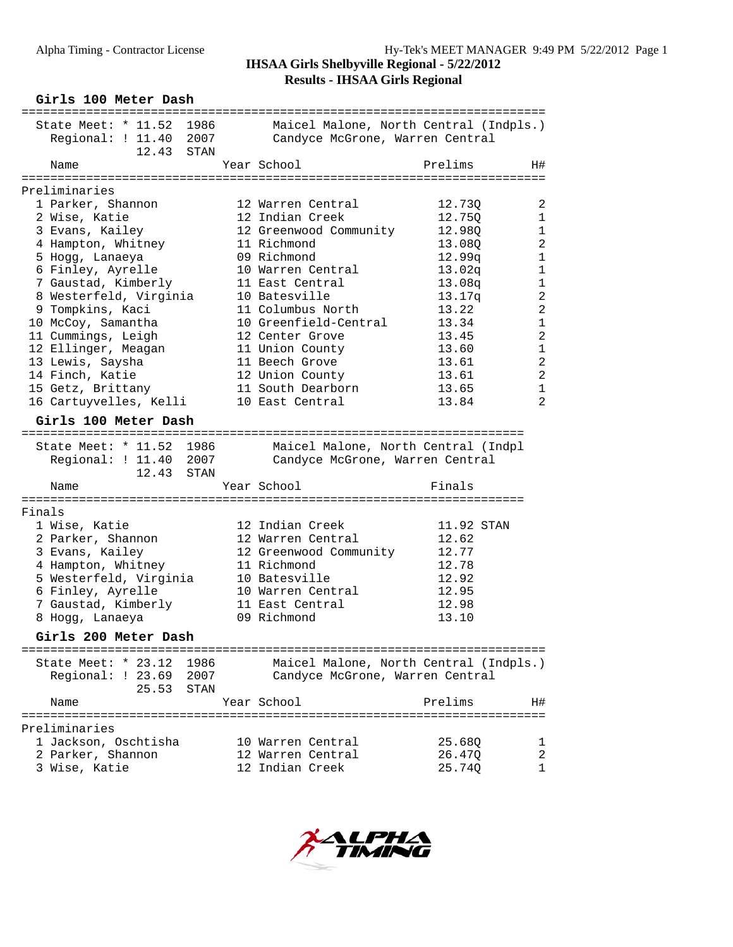**Girls 100 Meter Dash** ========================================================================= State Meet: \* 11.52 1986 Maicel Malone, North Central (Indpls.) Regional: ! 11.40 2007 Candyce McGrone, Warren Central 12.43 STAN Name Year School Prelims H# ========================================================================= Preliminaries 1 Parker, Shannon 12 Warren Central 12.73Q 2 2 Wise, Katie 12 Indian Creek 12.75Q 1 3 Evans, Kailey 12 Greenwood Community 12.98Q 1 4 Hampton, Whitney 11 Richmond 13.08Q 2 5 Hogg, Lanaeya 09 Richmond 12.99q 1 6 Finley, Ayrelle 10 Warren Central 13.02q 1 7 Gaustad, Kimberly 11 East Central 13.08q 1 8 Westerfeld, Virginia 10 Batesville 13.17q 2 9 Tompkins, Kaci 11 Columbus North 13.22 2 10 McCoy, Samantha 10 Greenfield-Central 13.34 1 11 Cummings, Leigh 12 Center Grove 13.45 2 12 Ellinger, Meagan 11 Union County 13.60 1 13 Lewis, Saysha 11 Beech Grove 13.61 2 14 Finch, Katie 12 Union County 13.61 2 15 Getz, Brittany 11 South Dearborn 13.65 1 16 Cartuyvelles, Kelli 10 East Central 13.84 2 **Girls 100 Meter Dash** ====================================================================== State Meet: \* 11.52 1986 Maicel Malone, North Central (Indpl Regional: ! 11.40 2007 Candyce McGrone, Warren Central 12.43 STAN Name **Name** Year School **Finals** ====================================================================== Finals 1 Wise, Katie 12 Indian Creek 11.92 STAN 2 Parker, Shannon 12 Warren Central 12.62 3 Evans, Kailey 12 Greenwood Community 12.77 4 Hampton, Whitney 11 Richmond 12.78 5 Westerfeld, Virginia 10 Batesville 12.92 6 Finley, Ayrelle 10 Warren Central 12.95 7 Gaustad, Kimberly 11 East Central 12.98 8 Hogg, Lanaeya 09 Richmond 13.10 **Girls 200 Meter Dash** ========================================================================= State Meet: \* 23.12 1986 Maicel Malone, North Central (Indpls.) Regional: ! 23.69 2007 Candyce McGrone, Warren Central  $25.53$  STAN Name The Year School Prelims H# ========================================================================= Preliminaries 1 Jackson, Oschtisha 10 Warren Central 25.68Q 1 2 Parker, Shannon 12 Warren Central 26.47Q 2 3 Wise, Katie 12 Indian Creek 25.74Q 1

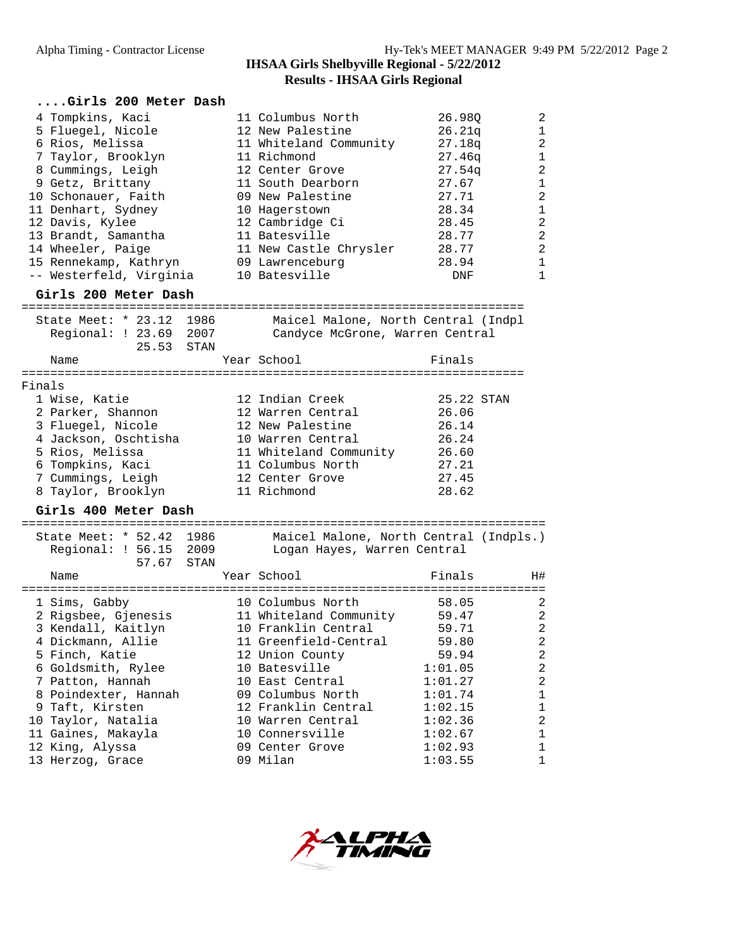| Girls 200 Meter Dash                                                                                                                                                                                                                                                                    |      |                                                                                                                                                                                                                                                               |                                                                                                                      |                                                                                                                                                            |
|-----------------------------------------------------------------------------------------------------------------------------------------------------------------------------------------------------------------------------------------------------------------------------------------|------|---------------------------------------------------------------------------------------------------------------------------------------------------------------------------------------------------------------------------------------------------------------|----------------------------------------------------------------------------------------------------------------------|------------------------------------------------------------------------------------------------------------------------------------------------------------|
| 4 Tompkins, Kaci<br>5 Fluegel, Nicole<br>6 Rios, Melissa<br>7 Taylor, Brooklyn<br>8 Cummings, Leigh<br>9 Getz, Brittany<br>10 Schonauer, Faith<br>11 Denhart, Sydney<br>12 Davis, Kylee<br>13 Brandt, Samantha<br>14 Wheeler, Paige<br>15 Rennekamp, Kathryn<br>-- Westerfeld, Virginia |      | 11 Columbus North<br>12 New Palestine<br>11 Whiteland Community<br>11 Richmond<br>12 Center Grove<br>11 South Dearborn<br>09 New Palestine<br>10 Hagerstown<br>12 Cambridge Ci<br>11 Batesville<br>11 New Castle Chrysler<br>09 Lawrenceburg<br>10 Batesville | 26.98Q<br>26.21q<br>27.18q<br>27.46q<br>27.54q<br>27.67<br>27.71<br>28.34<br>28.45<br>28.77<br>28.77<br>28.94<br>DNF | $\overline{2}$<br>1<br>$\overline{2}$<br>$\mathbf{1}$<br>2<br>$\mathbf 1$<br>$\overline{2}$<br>$\mathbf 1$<br>$\overline{a}$<br>2<br>2<br>$\mathbf 1$<br>1 |
| Girls 200 Meter Dash                                                                                                                                                                                                                                                                    |      |                                                                                                                                                                                                                                                               |                                                                                                                      |                                                                                                                                                            |
| State Meet: * 23.12 1986<br>Regional: ! 23.69 2007<br>25.53                                                                                                                                                                                                                             | STAN | Maicel Malone, North Central (Indpl<br>Candyce McGrone, Warren Central                                                                                                                                                                                        |                                                                                                                      |                                                                                                                                                            |
| Name                                                                                                                                                                                                                                                                                    |      | Year School                                                                                                                                                                                                                                                   | Finals                                                                                                               |                                                                                                                                                            |
| Finals                                                                                                                                                                                                                                                                                  |      |                                                                                                                                                                                                                                                               |                                                                                                                      |                                                                                                                                                            |
| 1 Wise, Katie<br>2 Parker, Shannon<br>3 Fluegel, Nicole<br>4 Jackson, Oschtisha<br>5 Rios, Melissa<br>6 Tompkins, Kaci<br>7 Cummings, Leigh<br>8 Taylor, Brooklyn<br>Girls 400 Meter Dash                                                                                               |      | 12 Indian Creek<br>12 Warren Central<br>12 New Palestine<br>10 Warren Central<br>11 Whiteland Community<br>11 Columbus North<br>12 Center Grove<br>11 Richmond                                                                                                | 25.22 STAN<br>26.06<br>26.14<br>26.24<br>26.60<br>27.21<br>27.45<br>28.62                                            |                                                                                                                                                            |
| State Meet: * 52.42 1986<br>Regional: ! 56.15 2009<br>57.67                                                                                                                                                                                                                             | STAN | Maicel Malone, North Central (Indpls.)<br>Logan Hayes, Warren Central                                                                                                                                                                                         |                                                                                                                      |                                                                                                                                                            |
| Name                                                                                                                                                                                                                                                                                    |      | Year School                                                                                                                                                                                                                                                   | Finals                                                                                                               | H#                                                                                                                                                         |
| 1 Sims, Gabby<br>2 Rigsbee, Gjenesis<br>3 Kendall, Kaitlyn<br>4 Dickmann, Allie<br>5 Finch, Katie<br>6 Goldsmith, Rylee<br>7 Patton, Hannah<br>8 Poindexter, Hannah<br>9 Taft, Kirsten<br>10 Taylor, Natalia<br>11 Gaines, Makayla                                                      |      | 10 Columbus North<br>11 Whiteland Community<br>10 Franklin Central<br>11 Greenfield-Central<br>12 Union County<br>10 Batesville<br>10 East Central<br>09 Columbus North<br>12 Franklin Central<br>10 Warren Central<br>10 Connersville                        | 58.05<br>59.47<br>59.71<br>59.80<br>59.94<br>1:01.05<br>1:01.27<br>1:01.74<br>1:02.15<br>1:02.36<br>1:02.67          | 2<br>2<br>$\overline{c}$<br>2<br>$\sqrt{2}$<br>$\overline{c}$<br>$\sqrt{2}$<br>1<br>1<br>$\sqrt{2}$<br>1                                                   |
| 12 King, Alyssa<br>13 Herzog, Grace                                                                                                                                                                                                                                                     |      | 09 Center Grove<br>09 Milan                                                                                                                                                                                                                                   | 1:02.93<br>1:03.55                                                                                                   | $\mathbf 1$<br>1                                                                                                                                           |

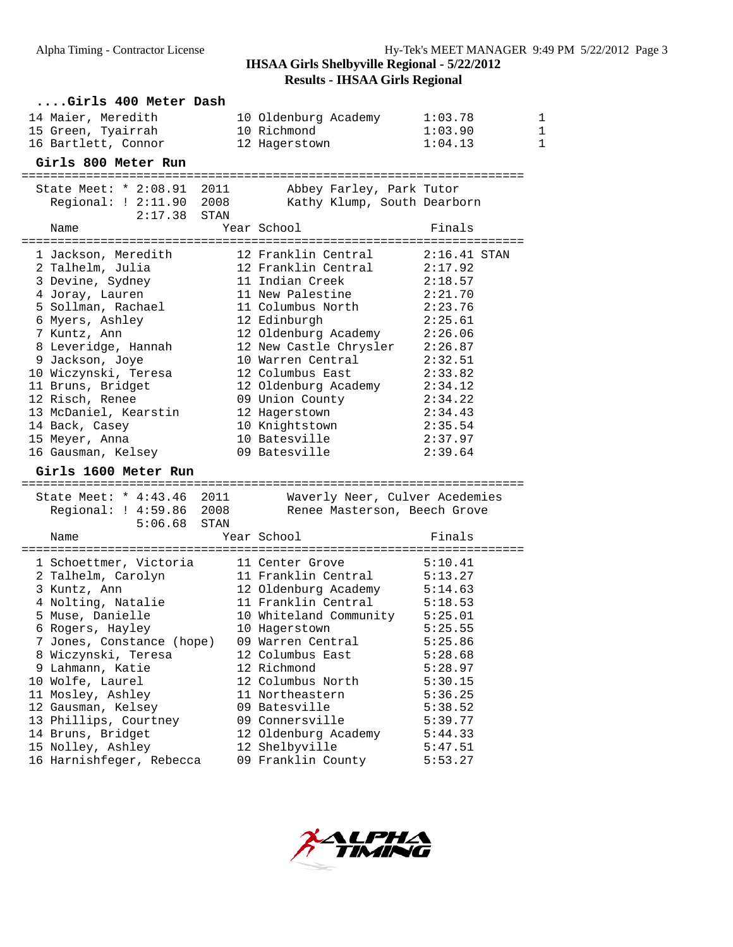# **Results - IHSAA Girls Regional**

| Girls 400 Meter Dash                                   |                                                         |                    |   |
|--------------------------------------------------------|---------------------------------------------------------|--------------------|---|
| 14 Maier, Meredith                                     | 10 Oldenburg Academy                                    | 1:03.78            | 1 |
| 15 Green, Tyairrah                                     | 10 Richmond                                             | 1:03.90            | 1 |
| 16 Bartlett, Connor                                    | 12 Hagerstown                                           | 1:04.13            | 1 |
| Girls 800 Meter Run                                    |                                                         |                    |   |
|                                                        |                                                         |                    |   |
| State Meet: * 2:08.91 2011<br>Regional: ! 2:11.90 2008 | Abbey Farley, Park Tutor<br>Kathy Klump, South Dearborn |                    |   |
| 2:17.38<br>STAN                                        |                                                         |                    |   |
| Name                                                   | Year School                                             | Finals             |   |
| 1 Jackson, Meredith                                    | 12 Franklin Central                                     | $2:16.41$ STAN     |   |
| 2 Talhelm, Julia                                       | 12 Franklin Central                                     | 2:17.92            |   |
| 3 Devine, Sydney                                       | 11 Indian Creek                                         | 2:18.57            |   |
| 4 Joray, Lauren                                        | 11 New Palestine                                        | 2:21.70            |   |
| 5 Sollman, Rachael                                     | 11 Columbus North                                       | 2:23.76            |   |
| 6 Myers, Ashley                                        | 12 Edinburgh                                            | 2:25.61            |   |
| 7 Kuntz, Ann                                           | 12 Oldenburg Academy 2:26.06                            |                    |   |
| 8 Leveridge, Hannah                                    | 12 New Castle Chrysler 2:26.87                          |                    |   |
| 9 Jackson, Joye                                        | 10 Warren Central                                       | 2:32.51            |   |
| 10 Wiczynski, Teresa                                   | 12 Columbus East                                        | 2:33.82            |   |
| 11 Bruns, Bridget                                      | 12 Oldenburg Academy 2:34.12                            |                    |   |
| 12 Risch, Renee                                        | 09 Union County                                         | 2:34.22            |   |
| 13 McDaniel, Kearstin                                  | 12 Hagerstown                                           | 2:34.43            |   |
| 14 Back, Casey                                         | 10 Knightstown                                          | 2:35.54            |   |
| 15 Meyer, Anna                                         | 10 Batesville                                           | 2:37.97            |   |
| 16 Gausman, Kelsey                                     | 09 Batesville                                           | 2:39.64            |   |
| Girls 1600 Meter Run                                   |                                                         |                    |   |
| State Meet: * 4:43.46 2011                             | Waverly Neer, Culver Acedemies                          |                    |   |
| Regional: ! 4:59.86 2008                               | Renee Masterson, Beech Grove                            |                    |   |
| 5:06.68<br>STAN                                        |                                                         |                    |   |
| Name                                                   | Year School                                             | Finals             |   |
| 1 Schoettmer, Victoria                                 | 11 Center Grove                                         | 5:10.41            |   |
| 2 Talhelm, Carolyn                                     | 11 Franklin Central                                     | 5:13.27            |   |
| 3 Kuntz, Ann                                           | 12 Oldenburg Academy                                    | 5:14.63            |   |
| 4 Nolting, Natalie                                     | 11 Franklin Central                                     | 5:18.53            |   |
| 5 Muse, Danielle                                       | 10 Whiteland Community 5:25.01                          |                    |   |
| 6 Rogers, Hayley                                       | 10 Hagerstown                                           | 5:25.55            |   |
| 7 Jones, Constance (hope)                              | 09 Warren Central                                       | 5:25.86            |   |
| 8 Wiczynski, Teresa                                    | 12 Columbus East                                        | 5:28.68            |   |
| 9 Lahmann, Katie                                       | 12 Richmond                                             | 5:28.97            |   |
| 10 Wolfe, Laurel                                       | 12 Columbus North                                       | 5:30.15            |   |
| 11 Mosley, Ashley                                      | 11 Northeastern                                         | 5:36.25            |   |
| 12 Gausman, Kelsey                                     | 09 Batesville<br>09 Connersville                        | 5:38.52            |   |
| 13 Phillips, Courtney<br>14 Bruns, Bridget             | 12 Oldenburg Academy                                    | 5:39.77<br>5:44.33 |   |
| 15 Nolley, Ashley                                      | 12 Shelbyville                                          | 5:47.51            |   |
| 16 Harnishfeger, Rebecca                               | 09 Franklin County                                      | 5:53.27            |   |
|                                                        |                                                         |                    |   |

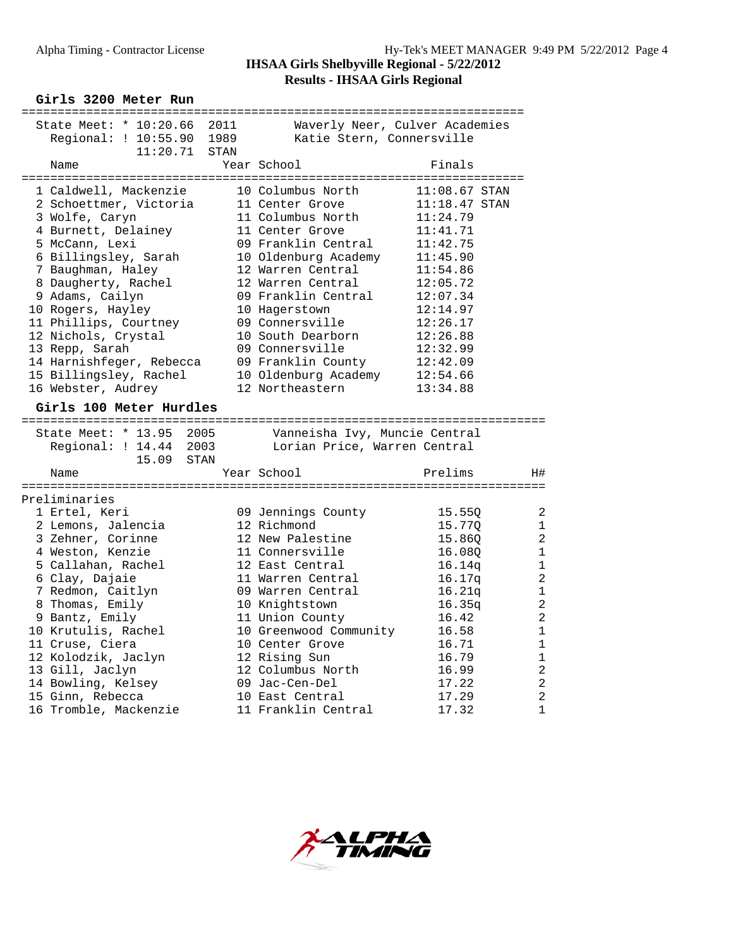**Girls 3200 Meter Run**

| State Meet: * 10:20.66 2011 |      |                               | Waverly Neer, Culver Academies |                |
|-----------------------------|------|-------------------------------|--------------------------------|----------------|
| Regional: ! 10:55.90 1989   |      | Katie Stern, Connersville     |                                |                |
| 11:20.71                    | STAN |                               |                                |                |
| Name                        |      | Year School                   | Finals                         |                |
|                             |      |                               |                                |                |
| 1 Caldwell, Mackenzie       |      | 10 Columbus North             | $11:08.67$ STAN                |                |
| 2 Schoettmer, Victoria      |      | 11 Center Grove               | $11:18.47$ STAN                |                |
| 3 Wolfe, Caryn              |      | 11 Columbus North             | 11:24.79                       |                |
| 4 Burnett, Delainey         |      | 11 Center Grove               | 11:41.71                       |                |
| 5 McCann, Lexi              |      | 09 Franklin Central           | 11:42.75                       |                |
| 6 Billingsley, Sarah        |      | 10 Oldenburg Academy          |                                |                |
|                             |      |                               | 11:45.90                       |                |
| 7 Baughman, Haley           |      | 12 Warren Central             | 11:54.86                       |                |
| 8 Daugherty, Rachel         |      | 12 Warren Central             | 12:05.72                       |                |
| 9 Adams, Cailyn             |      | 09 Franklin Central           | 12:07.34                       |                |
| 10 Rogers, Hayley           |      | 10 Hagerstown                 | 12:14.97                       |                |
| 11 Phillips, Courtney       |      | 09 Connersville               | 12:26.17                       |                |
| 12 Nichols, Crystal         |      | 10 South Dearborn             | 12:26.88                       |                |
| 13 Repp, Sarah              |      | 09 Connersville               | 12:32.99                       |                |
| 14 Harnishfeger, Rebecca    |      | 09 Franklin County            | 12:42.09                       |                |
| 15 Billingsley, Rachel      |      | 10 Oldenburg Academy          | 12:54.66                       |                |
| 16 Webster, Audrey          |      | 12 Northeastern               | 13:34.88                       |                |
| Girls 100 Meter Hurdles     |      |                               |                                |                |
|                             |      |                               |                                |                |
| State Meet: * 13.95 2005    |      | Vanneisha Ivy, Muncie Central |                                |                |
| Regional: ! 14.44 2003      |      | Lorian Price, Warren Central  |                                |                |
| 15.09<br>STAN               |      |                               |                                |                |
| Name                        |      | Year School                   | Prelims                        | H#             |
|                             |      |                               |                                |                |
| Preliminaries               |      |                               |                                |                |
| 1 Ertel, Keri               |      | 09 Jennings County            | 15.550                         | 2              |
| 2 Lemons, Jalencia          |      | 12 Richmond                   | 15.77Q                         | 1              |
| 3 Zehner, Corinne           |      | 12 New Palestine              | 15.860                         | $\overline{2}$ |
| 4 Weston, Kenzie            |      | 11 Connersville               |                                | $\mathbf 1$    |
|                             |      |                               | 16.08Q                         |                |
| 5 Callahan, Rachel          |      | 12 East Central               | 16.14q                         | $\mathbf 1$    |
| 6 Clay, Dajaie              |      | 11 Warren Central             | 16.17q                         | $\overline{a}$ |
| 7 Redmon, Caitlyn           |      | 09 Warren Central             | 16.21q                         | $\mathbf 1$    |
| 8 Thomas, Emily             |      | 10 Knightstown                | 16.35q                         | $\overline{a}$ |
| 9 Bantz, Emily              |      | 11 Union County               | 16.42                          | $\overline{c}$ |
| 10 Krutulis, Rachel         |      | 10 Greenwood Community        | 16.58                          | $\mathbf{1}$   |
| 11 Cruse, Ciera             |      | 10 Center Grove               | 16.71                          | $\mathbf 1$    |
| 12 Kolodzik, Jaclyn         |      | 12 Rising Sun                 | 16.79                          | $\mathbf 1$    |
| 13 Gill, Jaclyn             |      | 12 Columbus North             | 16.99                          | $\overline{2}$ |
| 14 Bowling, Kelsey          |      | 09 Jac-Cen-Del                | 17.22                          | $\sqrt{2}$     |
| 15 Ginn, Rebecca            |      | 10 East Central               | 17.29                          | $\overline{a}$ |
| 16 Tromble, Mackenzie       |      | 11 Franklin Central           | 17.32                          | $\mathbf 1$    |
|                             |      |                               |                                |                |

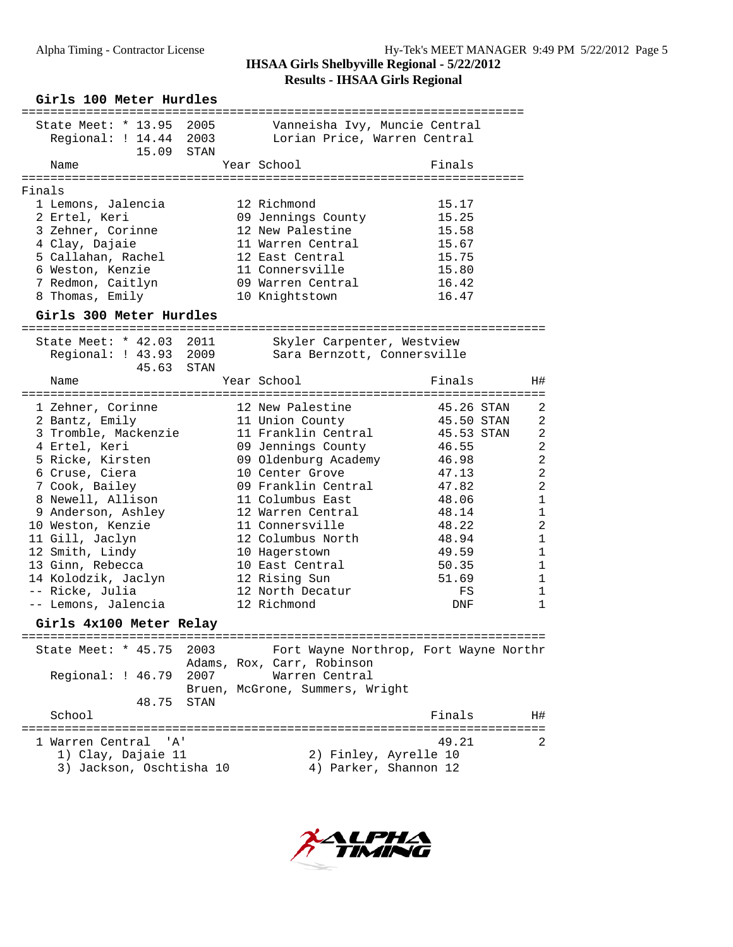|        | Girls 100 Meter Hurdles                                                            |      |                                                               |            |                |
|--------|------------------------------------------------------------------------------------|------|---------------------------------------------------------------|------------|----------------|
|        | ==============<br>State Meet: * 13.95 2005<br>Regional: ! 14.44 2003<br>15.09 STAN |      | Vanneisha Ivy, Muncie Central<br>Lorian Price, Warren Central |            |                |
|        | Name                                                                               |      | Year School                                                   | Finals     |                |
|        |                                                                                    |      |                                                               |            |                |
| Finals | 1 Lemons, Jalencia                                                                 |      | 12 Richmond                                                   | 15.17      |                |
|        | 2 Ertel, Keri                                                                      |      | 09 Jennings County                                            | 15.25      |                |
|        | 3 Zehner, Corinne                                                                  |      | 12 New Palestine                                              | 15.58      |                |
|        | 4 Clay, Dajaie                                                                     |      | 11 Warren Central                                             | 15.67      |                |
|        | 5 Callahan, Rachel                                                                 |      | 12 East Central                                               | 15.75      |                |
|        | 6 Weston, Kenzie                                                                   |      | 11 Connersville                                               | 15.80      |                |
|        | 7 Redmon, Caitlyn                                                                  |      | 09 Warren Central                                             | 16.42      |                |
|        | 8 Thomas, Emily                                                                    |      | 10 Knightstown                                                | 16.47      |                |
|        | Girls 300 Meter Hurdles                                                            |      |                                                               |            |                |
|        | State Meet: * 42.03 2011                                                           |      | Skyler Carpenter, Westview                                    |            |                |
|        | Regional: ! 43.93 2009                                                             |      | Sara Bernzott, Connersville                                   |            |                |
|        | 45.63 STAN                                                                         |      |                                                               |            |                |
|        | Name                                                                               |      | Year School                                                   | Finals     | H#             |
|        | 1 Zehner, Corinne                                                                  |      | 12 New Palestine                                              | 45.26 STAN | 2              |
|        | 2 Bantz, Emily                                                                     |      | 11 Union County                                               | 45.50 STAN | 2              |
|        | 3 Tromble, Mackenzie                                                               |      | 11 Franklin Central                                           | 45.53 STAN | $\overline{2}$ |
|        | 4 Ertel, Keri                                                                      |      | 09 Jennings County                                            | 46.55      | $\overline{2}$ |
|        | 5 Ricke, Kirsten                                                                   |      | 09 Oldenburg Academy                                          | 46.98      | $\overline{2}$ |
|        | 6 Cruse, Ciera                                                                     |      | 10 Center Grove                                               | 47.13      | $\overline{a}$ |
|        | 7 Cook, Bailey                                                                     |      | 09 Franklin Central                                           | 47.82      | $\overline{a}$ |
|        | 8 Newell, Allison                                                                  |      | 11 Columbus East                                              | 48.06      | $\mathbf{1}$   |
|        | 9 Anderson, Ashley                                                                 |      | 12 Warren Central                                             | 48.14      | $\mathbf{1}$   |
|        | 10 Weston, Kenzie                                                                  |      | 11 Connersville                                               | 48.22      | $\overline{2}$ |
|        | 11 Gill, Jaclyn                                                                    |      | 12 Columbus North                                             | 48.94      | $\mathbf{1}$   |
|        | 12 Smith, Lindy                                                                    |      | 10 Hagerstown                                                 | 49.59      | $\mathbf{1}$   |
|        | 13 Ginn, Rebecca                                                                   |      | 10 East Central                                               | 50.35      | $\mathbf{1}$   |
|        | 14 Kolodzik, Jaclyn                                                                |      | 12 Rising Sun                                                 | 51.69      | 1              |
|        | -- Ricke, Julia                                                                    |      | 12 North Decatur                                              | FS         | 1              |
|        | -- Lemons, Jalencia                                                                |      | 12 Richmond                                                   | DNF        | $\mathbf{1}$   |
|        | Girls 4x100 Meter Relay                                                            |      |                                                               |            |                |
|        | State Meet: * 45.75 2003                                                           |      | Fort Wayne Northrop, Fort Wayne Northr                        |            |                |
|        |                                                                                    |      | Adams, Rox, Carr, Robinson                                    |            |                |
|        | Regional: ! 46.79                                                                  | 2007 | Warren Central                                                |            |                |
|        |                                                                                    |      | Bruen, McGrone, Summers, Wright                               |            |                |
|        | 48.75                                                                              | STAN |                                                               | Finals     |                |
|        | School                                                                             |      |                                                               |            | H#             |
|        | 1 Warren Central<br>" A '                                                          |      |                                                               | 49.21      | 2              |
|        | 1) Clay, Dajaie 11                                                                 |      | 2) Finley, Ayrelle 10                                         |            |                |
|        | 3) Jackson, Oschtisha 10                                                           |      | 4) Parker, Shannon 12                                         |            |                |
|        |                                                                                    |      |                                                               |            |                |

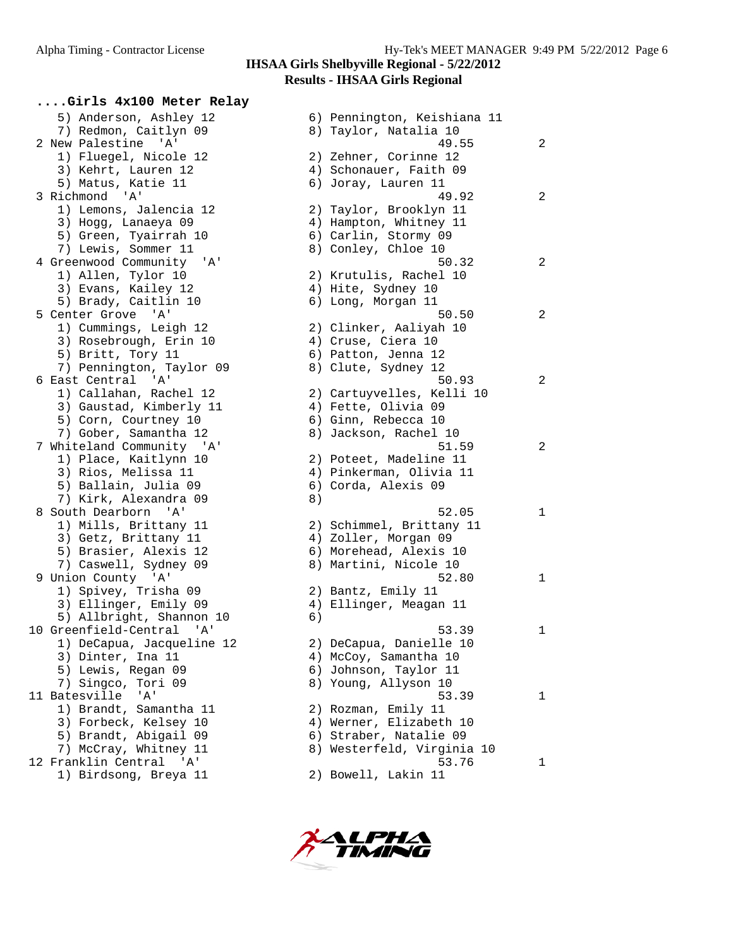**....Girls 4x100 Meter Relay** 5) Anderson, Ashley 12 6) Pennington, Keishiana 11 7) Redmon, Caitlyn 09 8) Taylor, Natalia 10 1) Fluegel, Nicole 12 2) Zehner, Corinne 12 3) Kehrt, Lauren 12 4) Schonauer, Faith 09 5) Matus, Katie 11 6) Joray, Lauren 11 1) Lemons, Jalencia 12 2) Taylor, Brooklyn 11 3) Hogg, Lanaeya 09 4) Hampton, Whitney 11 5) Green, Tyairrah 10 6) Carlin, Stormy 09 7) Lewis, Sommer 11 and 8) Conley, Chloe 10 1) Allen, Tylor 10 2) Krutulis, Rachel 10 3) Evans, Kailey 12 (4) Hite, Sydney 10 5) Brady, Caitlin 10 6) Long, Morgan 11 1) Cummings, Leigh 12 2) Clinker, Aaliyah 10 3) Rosebrough, Erin 10  $\hskip1cm$  4) Cruse, Ciera 10 5) Britt, Tory 11 6) Patton, Jenna 12 7) Pennington, Taylor 09 8) Clute, Sydney 12 1) Callahan, Rachel 12 2) Cartuyvelles, Kelli 10 3) Gaustad, Kimberly 11 (4) Fette, Olivia 09 5) Corn, Courtney 10 (6) Ginn, Rebecca 10 7) Gober, Samantha 12 8) Jackson, Rachel 10 1) Place, Kaitlynn 10 2) Poteet, Madeline 11 3) Rios, Melissa 11 4) Pinkerman, Olivia 11 5) Ballain, Julia 09 (6) Corda, Alexis 09 7) Kirk, Alexandra 09 (8) 1) Mills, Brittany 11 2) Schimmel, Brittany 11 3) Getz, Brittany 11 (4) Zoller, Morgan 09 5) Brasier, Alexis 12 6) Morehead, Alexis 10 7) Caswell, Sydney 09 8) Martini, Nicole 10 1) Spivey, Trisha 09 2) Bantz, Emily 11 3) Ellinger, Emily 09 4) Ellinger, Meagan 11 5) Allbright, Shannon 10 (6) 1) DeCapua, Jacqueline 12 2) DeCapua, Danielle 10 3) Dinter, Ina 11 4) McCoy, Samantha 10 5) Lewis, Regan 09 6) Johnson, Taylor 11 7) Singco, Tori 09 8) Young, Allyson 10 1) Brandt, Samantha 11 2) Rozman, Emily 11 3) Forbeck, Kelsey 10 4) Werner, Elizabeth 10 5) Brandt, Abigail 09 6) Straber, Natalie 09 7) McCray, Whitney 11 8) Westerfeld, Virginia 10 1) Birdsong, Breya 11 2) Bowell, Lakin 11

2 New Palestine 'A' 32 22 22 23 249.55 3 Richmond 'A' 49.92 2 4 Greenwood Community 'A' 50.32 2 5 Center Grove 'A' 50.50 2 6 East Central 'A' 50.93 2 7 Whiteland Community 'A' 51.59 2 8 South Dearborn 'A' 52.05 1 9 Union County 'A' 52.80 1 10 Greenfield-Central 'A' 53.39 1 11 Batesville 'A' 53.39 1 12 Franklin Central 'A' 53.76 1

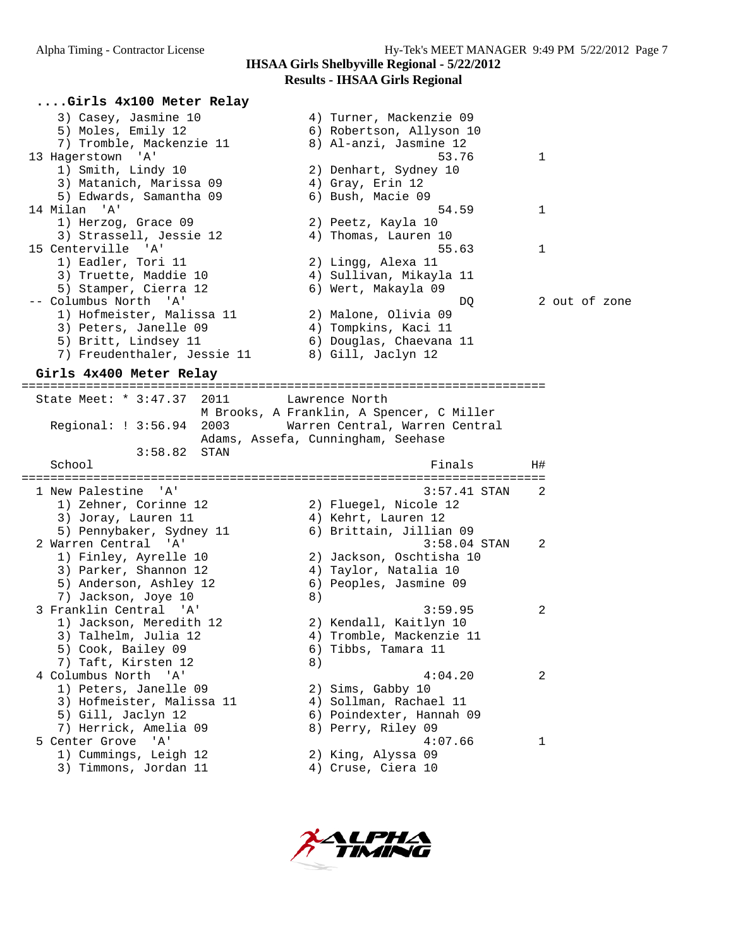#### Alpha Timing - Contractor License Hy-Tek's MEET MANAGER 9:49 PM 5/22/2012 Page 7 **IHSAA Girls Shelbyville Regional - 5/22/2012 Results - IHSAA Girls Regional**

**....Girls 4x100 Meter Relay** 3) Casey, Jasmine 10 4) Turner, Mackenzie 09 5) Moles, Emily 12 6) Robertson, Allyson 10 7) Tromble, Mackenzie 11 8) Al-anzi, Jasmine 12 13 Hagerstown 'A' 53.76 1 1) Smith, Lindy 10 2) Denhart, Sydney 10 3) Matanich, Marissa 09  $\hskip1cm$  4) Gray, Erin 12 5) Edwards, Samantha 09 6) Bush, Macie 09 14 Milan 'A' 54.59 1 1) Herzog, Grace 09 2) Peetz, Kayla 10 3) Strassell, Jessie 12 4) Thomas, Lauren 10 15 Centerville 'A' 55.63 1 1) Eadler, Tori 11 2) Lingg, Alexa 11 3) Truette, Maddie 10 4) Sullivan, Mikayla 11 5) Stamper, Cierra 12 (6) Wert, Makayla 09 -- Columbus North 'A' DQ 2 out of zone 1) Hofmeister, Malissa 11 2) Malone, Olivia 09 3) Peters, Janelle 09 (4) Tompkins, Kaci 11 5) Britt, Lindsey 11 6) Douglas, Chaevana 11 7) Freudenthaler, Jessie 11  $\qquad \qquad$  8) Gill, Jaclyn 12

**Girls 4x400 Meter Relay**

========================================================================= State Meet: \* 3:47.37 2011 Lawrence North M Brooks, A Franklin, A Spencer, C Miller Regional: ! 3:56.94 2003 Warren Central, Warren Central Adams, Assefa, Cunningham, Seehase 3:58.82 STAN School and H# is a set of the set of the set of the set of the set of the set of the set of the set of the set o ========================================================================= 1 New Palestine 'A' 3:57.41 STAN 2 1) Zehner, Corinne 12 2) Fluegel, Nicole 12 3) Joray, Lauren 11 (4) Kehrt, Lauren 12 5) Pennybaker, Sydney 11 6) Brittain, Jillian 09 2 Warren Central 'A' 3:58.04 STAN 2 1) Finley, Ayrelle 10 2) Jackson, Oschtisha 10 3) Parker, Shannon 12 4) Taylor, Natalia 10 5) Anderson, Ashley 12 6) Peoples, Jasmine 09 7) Jackson, Joye 10 (8) 3 Franklin Central 'A' 3:59.95 2 1) Jackson, Meredith 12 2) Kendall, Kaitlyn 10 3) Talhelm, Julia 12 4) Tromble, Mackenzie 11 5) Cook, Bailey 09 6) Tibbs, Tamara 11 7) Taft, Kirsten 12 a 4 Columbus North 'A' 4:04.20 2 1) Peters, Janelle 09 2) Sims, Gabby 10 3) Hofmeister, Malissa 11 4) Sollman, Rachael 11 5) Gill, Jaclyn 12 6) Poindexter, Hannah 09 7) Herrick, Amelia 09 8) Perry, Riley 09 5 Center Grove 'A' 4:07.66 1 1) Cummings, Leigh 12 2) King, Alyssa 09 3) Timmons, Jordan 11 (4) Cruse, Ciera 10

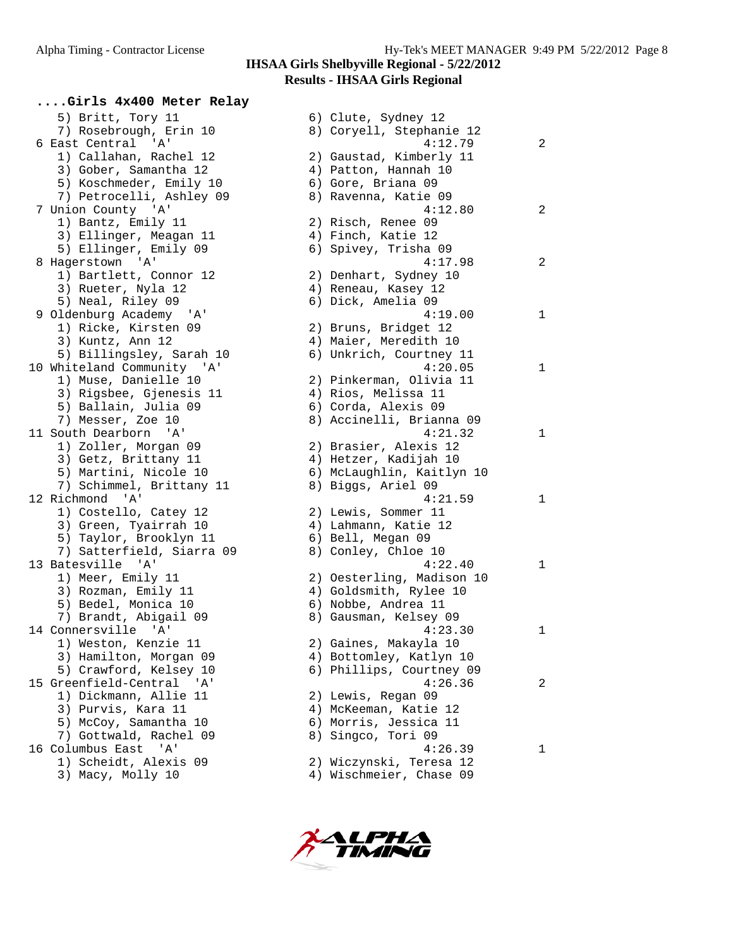**....Girls 4x400 Meter Relay** 5) Britt, Tory 11 6) Clute, Sydney 12 7) Rosebrough, Erin 10 8) Coryell, Stephanie 12 1) Callahan, Rachel 12 2) Gaustad, Kimberly 11 3) Gober, Samantha 12  $\hspace{1cm}$  4) Patton, Hannah 10 5) Koschmeder, Emily 10  $\,$  6) Gore, Briana 09 7) Petrocelli, Ashley 09 8) Ravenna, Katie 09 1) Bantz, Emily 11 2) Risch, Renee 09 3) Ellinger, Meagan 11  $\qquad \qquad$  4) Finch, Katie 12 5) Ellinger, Emily 09 6) Spivey, Trisha 09 1) Bartlett, Connor 12 2) Denhart, Sydney 10 3) Rueter, Nyla 12 (4) Reneau, Kasey 12 5) Neal, Riley 09 6) Dick, Amelia 09 1) Ricke, Kirsten 09 2) Bruns, Bridget 12 3) Kuntz, Ann 12 4) Maier, Meredith 10 5) Billingsley, Sarah 10 6) Unkrich, Courtney 11 1) Muse, Danielle 10 2) Pinkerman, Olivia 11 3) Rigsbee, Gjenesis 11 4) Rios, Melissa 11 5) Ballain, Julia 09 (6) Corda, Alexis 09 7) Messer, Zoe 10 8) Accinelli, Brianna 09 1) Zoller, Morgan 09 2) Brasier, Alexis 12 3) Getz, Brittany 11 4) Hetzer, Kadijah 10 5) Martini, Nicole 10 6) McLaughlin, Kaitlyn 10 7) Schimmel, Brittany 11 and 8) Biggs, Ariel 09 1) Costello, Catey 12 2) Lewis, Sommer 11 3) Green, Tyairrah 10  $\hskip1cm \hskip1cm 4$ ) Lahmann, Katie 12 5) Taylor, Brooklyn 11 (6) Bell, Megan 09 7) Satterfield, Siarra 09 8) Conley, Chloe 10 1) Meer, Emily 11 2) Oesterling, Madison 10 3) Rozman, Emily 11 4) Goldsmith, Rylee 10 5) Bedel, Monica 10 6) Nobbe, Andrea 11 7) Brandt, Abigail 09 8) Gausman, Kelsey 09 1) Weston, Kenzie 11 2) Gaines, Makayla 10 3) Hamilton, Morgan 09 4) Bottomley, Katlyn 10 5) Crawford, Kelsey 10 6) Phillips, Courtney 09 1) Dickmann, Allie 11 2) Lewis, Regan 09 3) Purvis, Kara 11 4) McKeeman, Katie 12 5) McCoy, Samantha 10 6) Morris, Jessica 11 7) Gottwald, Rachel 09 8) Singco, Tori 09 1) Scheidt, Alexis 09 2) Wiczynski, Teresa 12

 6 East Central 'A' 4:12.79 2 7 Union County 'A' 4:12.80 2 8 Hagerstown 'A' 4:17.98 2 9 Oldenburg Academy 'A' 4:19.00 1 10 Whiteland Community 'A' 4:20.05 1 11 South Dearborn 'A' 4:21.32 1 12 Richmond 'A' 4:21.59 1 13 Batesville 'A' 4:22.40 1 14 Connersville 'A' 4:23.30 1 15 Greenfield-Central 'A' 4:26.36 2 16 Columbus East 'A' 4:26.39 1 3) Macy, Molly 10 4) Wischmeier, Chase 09

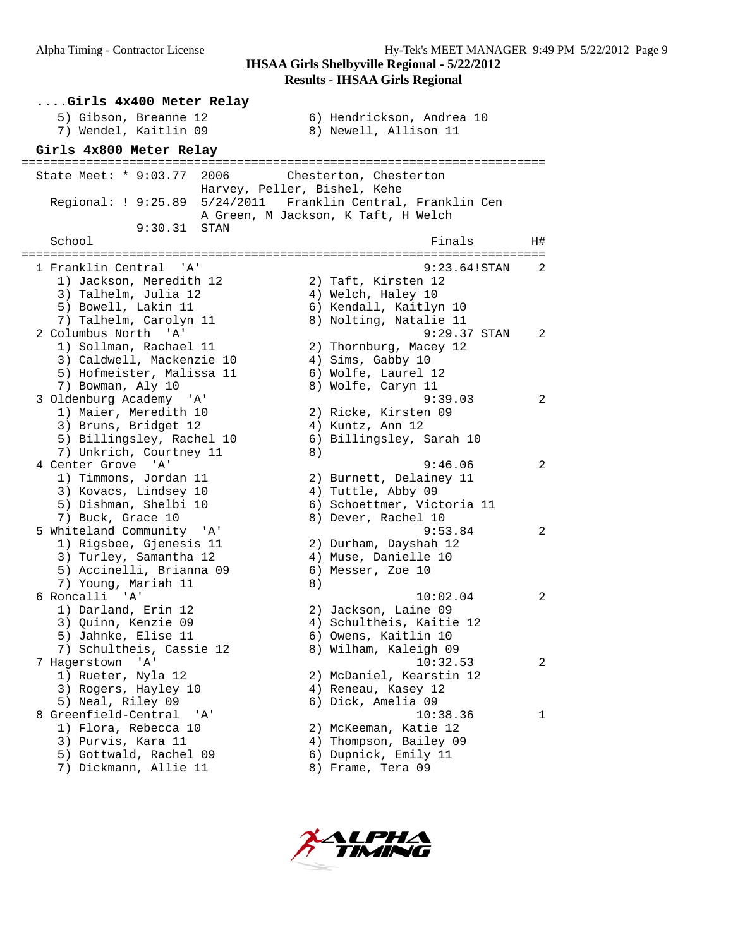| Girls 4x400 Meter Relay                                                                                                           |                                                                                                                                                                 |
|-----------------------------------------------------------------------------------------------------------------------------------|-----------------------------------------------------------------------------------------------------------------------------------------------------------------|
| 5) Gibson, Breanne 12<br>7) Wendel, Kaitlin 09                                                                                    | 6) Hendrickson, Andrea 10<br>8) Newell, Allison 11                                                                                                              |
| Girls 4x800 Meter Relay                                                                                                           |                                                                                                                                                                 |
| State Meet: * 9:03.77 2006                                                                                                        | Chesterton, Chesterton<br>Harvey, Peller, Bishel, Kehe<br>Regional: ! 9:25.89  5/24/2011  Franklin Central, Franklin Cen<br>A Green, M Jackson, K Taft, H Welch |
| 9:30.31<br>STAN<br>School                                                                                                         | Finals<br>H#                                                                                                                                                    |
|                                                                                                                                   |                                                                                                                                                                 |
| 1 Franklin Central 'A'<br>1) Jackson, Meredith 12<br>3) Talhelm, Julia 12<br>5) Bowell, Lakin 11<br>7) Talhelm, Carolyn 11        | 9:23.64!STAN<br>$\overline{2}$<br>2) Taft, Kirsten 12<br>4) Welch, Haley 10<br>6) Kendall, Kaitlyn 10<br>8) Nolting, Natalie 11                                 |
| 2 Columbus North 'A'<br>1) Sollman, Rachael 11<br>3) Caldwell, Mackenzie 10<br>5) Hofmeister, Malissa 11<br>7) Bowman, Aly 10     | $9:29.37$ STAN<br>2<br>2) Thornburg, Macey 12<br>4) Sims, Gabby 10<br>6) Wolfe, Laurel 12<br>8) Wolfe, Caryn 11                                                 |
| 3 Oldenburg Academy 'A'<br>1) Maier, Meredith 10<br>3) Bruns, Bridget 12<br>5) Billingsley, Rachel 10<br>7) Unkrich, Courtney 11  | 9:39.03<br>$\overline{2}$<br>2) Ricke, Kirsten 09<br>4) Kuntz, Ann 12<br>6) Billingsley, Sarah 10<br>8)                                                         |
| 4 Center Grove 'A'<br>1) Timmons, Jordan 11<br>3) Kovacs, Lindsey 10<br>5) Dishman, Shelbi 10<br>7) Buck, Grace 10                | 9:46.06<br>2<br>2) Burnett, Delainey 11<br>4) Tuttle, Abby 09<br>6) Schoettmer, Victoria 11<br>8) Dever, Rachel 10                                              |
| 5 Whiteland Community 'A'<br>1) Rigsbee, Gjenesis 11<br>3) Turley, Samantha 12<br>5) Accinelli, Brianna 09<br>7) Young, Mariah 11 | 9:53.84<br>2<br>2) Durham, Dayshah 12<br>4) Muse, Danielle 10<br>6) Messer, Zoe 10<br>8)                                                                        |
| 6 Roncalli 'A'<br>1) Darland, Erin 12<br>3) Quinn, Kenzie 09<br>5) Jahnke, Elise 11<br>7) Schultheis, Cassie 12                   | 10:02.04<br>2<br>2) Jackson, Laine 09<br>4) Schultheis, Kaitie 12<br>6) Owens, Kaitlin 10<br>8) Wilham, Kaleigh 09                                              |
| ' A'<br>7 Hagerstown<br>1) Rueter, Nyla 12<br>3) Rogers, Hayley 10<br>5) Neal, Riley 09                                           | $\overline{a}$<br>10:32.53<br>2) McDaniel, Kearstin 12<br>4) Reneau, Kasey 12<br>6) Dick, Amelia 09                                                             |
| 8 Greenfield-Central<br>'' A '<br>1) Flora, Rebecca 10<br>3) Purvis, Kara 11<br>5) Gottwald, Rachel 09<br>7) Dickmann, Allie 11   | 10:38.36<br>1<br>2) McKeeman, Katie 12<br>4) Thompson, Bailey 09<br>6) Dupnick, Emily 11<br>8) Frame, Tera 09                                                   |

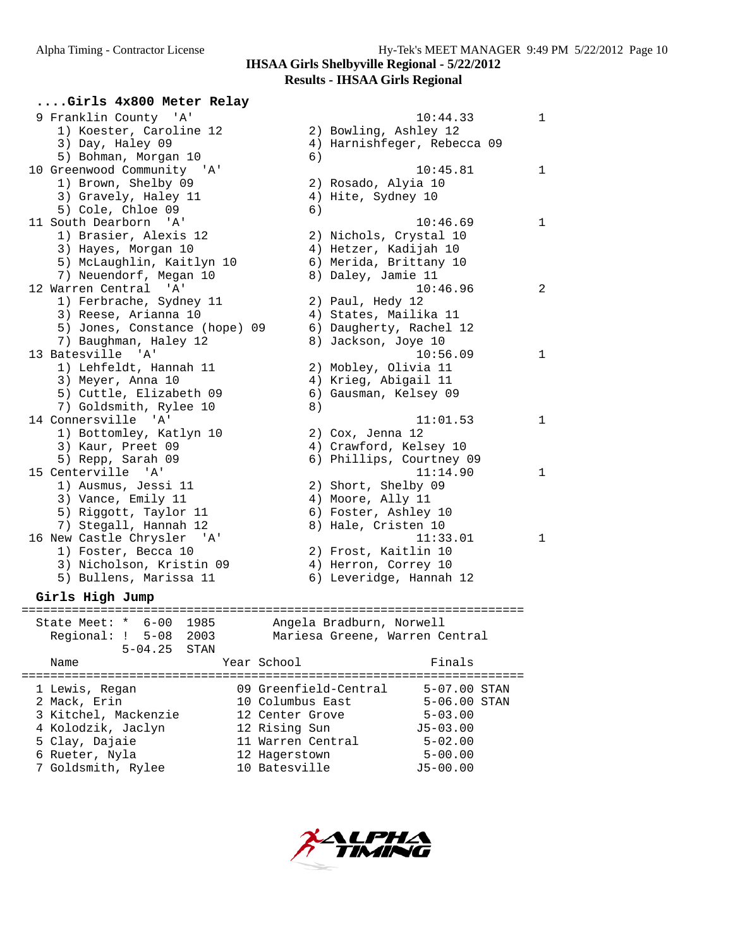#### **Results - IHSAA Girls Regional**

| Girls 4x800 Meter Relay       |                                |              |
|-------------------------------|--------------------------------|--------------|
| 9 Franklin County 'A'         | 10:44.33                       | $\mathbf{1}$ |
| 1) Koester, Caroline 12       | 2) Bowling, Ashley 12          |              |
| 3) Day, Haley 09              | 4) Harnishfeger, Rebecca 09    |              |
| 5) Bohman, Morgan 10          | 6)                             |              |
| 10 Greenwood Community 'A'    | 10:45.81                       | $\mathbf{1}$ |
| 1) Brown, Shelby 09           | 2) Rosado, Alyia 10            |              |
| 3) Gravely, Haley 11          | 4) Hite, Sydney 10             |              |
| 5) Cole, Chloe 09             | 6)                             |              |
| 11 South Dearborn 'A'         | 10:46.69                       | $\mathbf{1}$ |
| 1) Brasier, Alexis 12         | 2) Nichols, Crystal 10         |              |
| 3) Hayes, Morgan 10           | 4) Hetzer, Kadijah 10          |              |
| 5) McLaughlin, Kaitlyn 10     | 6) Merida, Brittany 10         |              |
| 7) Neuendorf, Megan 10        | 8) Daley, Jamie 11             |              |
| 12 Warren Central 'A'         | 10:46.96                       | 2            |
| 1) Ferbrache, Sydney 11       | 2) Paul, Hedy 12               |              |
| 3) Reese, Arianna 10          | 4) States, Mailika 11          |              |
| 5) Jones, Constance (hope) 09 | 6) Daugherty, Rachel 12        |              |
| 7) Baughman, Haley 12         | 8) Jackson, Joye 10            |              |
| 13 Batesville 'A'             | 10:56.09                       | 1            |
| 1) Lehfeldt, Hannah 11        | 2) Mobley, Olivia 11           |              |
| 3) Meyer, Anna 10             | 4) Krieg, Abigail 11           |              |
| 5) Cuttle, Elizabeth 09       | 6) Gausman, Kelsey 09          |              |
| 7) Goldsmith, Rylee 10        | 8)                             |              |
| 14 Connersville 'A'           | 11:01.53                       | 1            |
| 1) Bottomley, Katlyn 10       | 2) Cox, Jenna 12               |              |
| 3) Kaur, Preet 09             | 4) Crawford, Kelsey 10         |              |
| 5) Repp, Sarah 09             | 6) Phillips, Courtney 09       |              |
| 15 Centerville 'A'            | 11:14.90                       | 1            |
| 1) Ausmus, Jessi 11           | 2) Short, Shelby 09            |              |
| 3) Vance, Emily 11            | 4) Moore, Ally 11              |              |
| 5) Riggott, Taylor 11         | 6) Foster, Ashley 10           |              |
| 7) Stegall, Hannah 12         | 8) Hale, Cristen 10            |              |
| 16 New Castle Chrysler 'A'    | 11:33.01                       | 1            |
| 1) Foster, Becca 10           | 2) Frost, Kaitlin 10           |              |
| 3) Nicholson, Kristin 09      | 4) Herron, Correy 10           |              |
| 5) Bullens, Marissa 11        | 6) Leveridge, Hannah 12        |              |
| Girls High Jump               |                                |              |
| State Meet: $*$ 6-00<br>1985  | Angela Bradburn, Norwell       |              |
| Regional: ! 5-08 2003         | Mariesa Greene, Warren Central |              |
| $5 - 04.25$<br>STAN           |                                |              |

Name Year School Finals ====================================================================== 1 Lewis, Regan 09 Greenfield-Central 5-07.00 STAN 2 Mack, Erin 10 Columbus East 5-06.00 STAN 3 Kitchel, Mackenzie 12 Center Grove 5-03.00 4 Kolodzik, Jaclyn 12 Rising Sun J5-03.00 5 Clay, Dajaie 11 Warren Central 5-02.00 6 Rueter, Nyla 12 Hagerstown 5-00.00 7 Goldsmith, Rylee 10 Batesville J5-00.00

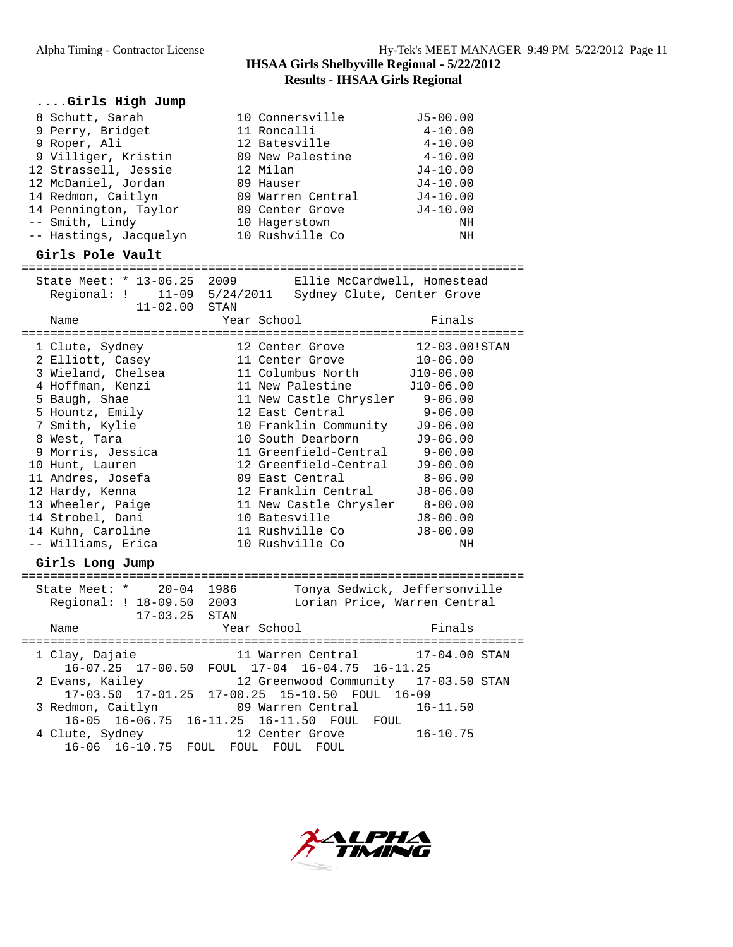| Girls High Jump                                                                                                                                                                                                                                                                                                         |                                                                                                                                                                                                                                                                                                                                                             |                                                                                                                                                                                                                           |
|-------------------------------------------------------------------------------------------------------------------------------------------------------------------------------------------------------------------------------------------------------------------------------------------------------------------------|-------------------------------------------------------------------------------------------------------------------------------------------------------------------------------------------------------------------------------------------------------------------------------------------------------------------------------------------------------------|---------------------------------------------------------------------------------------------------------------------------------------------------------------------------------------------------------------------------|
| 8 Schutt, Sarah<br>9 Perry, Bridget<br>9 Roper, Ali<br>9 Villiger, Kristin<br>12 Strassell, Jessie<br>12 McDaniel, Jordan<br>14 Redmon, Caitlyn<br>14 Pennington, Taylor<br>-- Smith, Lindy<br>-- Hastings, Jacquelyn<br>Girls Pole Vault                                                                               | 10 Connersville<br>11 Roncalli<br>12 Batesville<br>09 New Palestine<br>12 Milan<br>09 Hauser<br>09 Warren Central<br>09 Center Grove<br>10 Hagerstown<br>10 Rushville Co                                                                                                                                                                                    | $J5 - 00.00$<br>$4 - 10.00$<br>$4 - 10.00$<br>$4 - 10.00$<br>J4-10.00<br>$J4 - 10.00$<br>$J4 - 10.00$<br>$J4 - 10.00$<br>NH<br>NH                                                                                         |
|                                                                                                                                                                                                                                                                                                                         |                                                                                                                                                                                                                                                                                                                                                             |                                                                                                                                                                                                                           |
| State Meet: * 13-06.25 2009<br>$11 - 02.00$ STAN                                                                                                                                                                                                                                                                        | Ellie McCardwell, Homestead<br>Regional: ! 11-09 5/24/2011 Sydney Clute, Center Grove                                                                                                                                                                                                                                                                       |                                                                                                                                                                                                                           |
| Name                                                                                                                                                                                                                                                                                                                    | Year School                                                                                                                                                                                                                                                                                                                                                 | Finals                                                                                                                                                                                                                    |
| 1 Clute, Sydney<br>2 Elliott, Casey<br>3 Wieland, Chelsea<br>4 Hoffman, Kenzi<br>5 Baugh, Shae<br>5 Hountz, Emily<br>7 Smith, Kylie<br>8 West, Tara<br>9 Morris, Jessica<br>10 Hunt, Lauren<br>11 Andres, Josefa<br>12 Hardy, Kenna<br>13 Wheeler, Paige<br>14 Strobel, Dani<br>14 Kuhn, Caroline<br>-- Williams, Erica | 12 Center Grove<br>11 Center Grove<br>11 Columbus North<br>11 New Palestine<br>11 New Castle Chrysler 9-06.00<br>12 East Central<br>10 Franklin Community<br>10 South Dearborn<br>11 Greenfield-Central<br>12 Greenfield-Central<br>09 East Central<br>12 Franklin Central<br>11 New Castle Chrysler<br>10 Batesville<br>11 Rushville Co<br>10 Rushville Co | 12-03.00!STAN<br>$10 - 06.00$<br>J10-06.00<br>J10-06.00<br>$9 - 06.00$<br>$J9 - 06.00$<br>$J9 - 06.00$<br>$9 - 00.00$<br>$J9 - 00.00$<br>$8 - 06.00$<br>$J8 - 06.00$<br>$8 - 00.00$<br>$J8 - 00.00$<br>$J8 - 00.00$<br>NH |
| Girls Long Jump                                                                                                                                                                                                                                                                                                         |                                                                                                                                                                                                                                                                                                                                                             |                                                                                                                                                                                                                           |
| State Meet: * 20-04 1986<br>Regional: ! 18-09.50 2003<br>$17 - 03.25$ STAN<br>Name                                                                                                                                                                                                                                      | Tonya Sedwick, Jeffersonville<br>Lorian Price, Warren Central<br>Year School                                                                                                                                                                                                                                                                                | Finais                                                                                                                                                                                                                    |
| 1 Clay, Dajaie                                                                                                                                                                                                                                                                                                          | 11 Warren Central                                                                                                                                                                                                                                                                                                                                           | 17-04.00 STAN                                                                                                                                                                                                             |
| 2 Evans, Kailey<br>17-03.50 17-01.25                                                                                                                                                                                                                                                                                    | 16-07.25 17-00.50 FOUL 17-04 16-04.75 16-11.25<br>12 Greenwood Community<br>17-00.25<br>15-10.50 FOUL 16-09                                                                                                                                                                                                                                                 | 17-03.50 STAN                                                                                                                                                                                                             |
| 3 Redmon, Caitlyn<br>$16-05$ $16-06.75$                                                                                                                                                                                                                                                                                 | 09 Warren Central<br>16-11.25 16-11.50 FOUL FOUL                                                                                                                                                                                                                                                                                                            | $16 - 11.50$                                                                                                                                                                                                              |
| 4 Clute, Sydney<br>$16 - 06$ $16 - 10.75$                                                                                                                                                                                                                                                                               | 12 Center Grove<br>FOUL FOUL FOUL FOUL                                                                                                                                                                                                                                                                                                                      | $16 - 10.75$                                                                                                                                                                                                              |

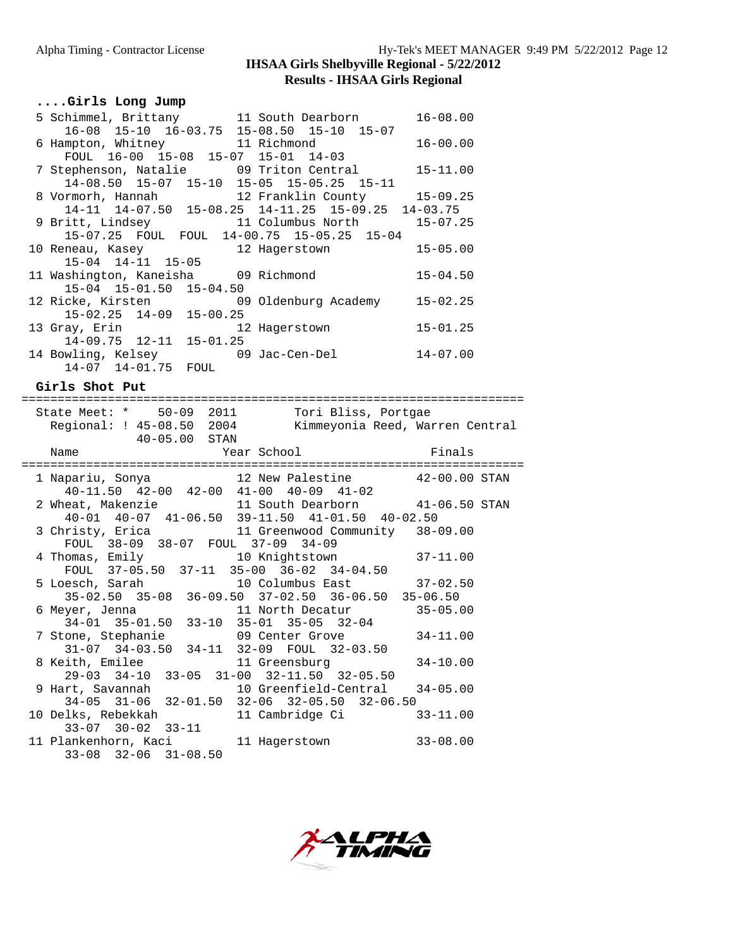#### **Results - IHSAA Girls Regional**

|  |  |  | Girls Long Jump |  |  |
|--|--|--|-----------------|--|--|
|--|--|--|-----------------|--|--|

|                               | 5 Schimmel, Brittany 11 South Dearborn             | $16 - 08.00$ |
|-------------------------------|----------------------------------------------------|--------------|
|                               | 16-08 15-10 16-03.75 15-08.50 15-10 15-07          |              |
|                               | 6 Hampton, Whitney 11 Richmond                     | $16 - 00.00$ |
|                               | FOUL 16-00 15-08 15-07 15-01 14-03                 |              |
|                               | 7 Stephenson, Natalie 199 Triton Central           | $15 - 11.00$ |
|                               | 14-08.50 15-07 15-10 15-05 15-05.25 15-11          |              |
|                               | 8 Vormorh, Hannah 12 Franklin County 15-09.25      |              |
|                               | 14-11 14-07.50 15-08.25 14-11.25 15-09.25 14-03.75 |              |
|                               | 9 Britt, Lindsey 11 Columbus North 15-07.25        |              |
|                               | 15-07.25 FOUL FOUL 14-00.75 15-05.25 15-04         |              |
|                               |                                                    | $15 - 05.00$ |
| 15-04 14-11 15-05             |                                                    |              |
|                               | 11 Washington, Kaneisha 09 Richmond                | $15 - 04.50$ |
| 15-04 15-01.50 15-04.50       |                                                    |              |
|                               | 12 Ricke, Kirsten 12 09 Oldenburg Academy          | $15 - 02.25$ |
| $15-02.25$ $14-09$ $15-00.25$ |                                                    |              |
|                               | 13 Gray, Erin 12 Hagerstown                        | $15 - 01.25$ |
| $14-09.75$ $12-11$ $15-01.25$ |                                                    |              |
|                               | 14 Bowling, Kelsey 69 Jac-Cen-Del                  | $14 - 07.00$ |
| 14-07 14-01.75 FOUL           |                                                    |              |

**Girls Shot Put**

| State Meet: * 50-09 2011 Tori Bliss, Portgae                                       |               |                          |
|------------------------------------------------------------------------------------|---------------|--------------------------|
| Regional: ! 45-08.50 2004 Kimmeyonia Reed, Warren Central                          |               |                          |
| 40-05.00 STAN                                                                      |               |                          |
|                                                                                    |               |                          |
| Name                                                                               |               | Year School Finals       |
|                                                                                    |               |                          |
| 1 Napariu, Sonya (12 New Palestine (22-00.00 STAN                                  |               |                          |
| 40-11.50 42-00 42-00 41-00 40-09 41-02                                             |               |                          |
| 2 Wheat, Makenzie 311 South Dearborn 31-06.50 STAN                                 |               |                          |
| 40-01 40-07 41-06.50 39-11.50 41-01.50 40-02.50                                    |               |                          |
| 3 Christy, Erica 11 Greenwood Community 38-09.00                                   |               |                          |
| FOUL 38-09 38-07 FOUL 37-09 34-09                                                  |               |                          |
| 4 Thomas, Emily 10 Knightstown 37-11.00                                            |               |                          |
| FOUL 37-05.50 37-11 35-00 36-02 34-04.50                                           |               |                          |
| 5 Loesch, Sarah 10 Columbus East 37-02.50                                          |               |                          |
| 35-02.50 35-08 36-09.50 37-02.50 36-06.50 35-06.50                                 |               |                          |
|                                                                                    |               |                          |
| 6 Meyer, Jenna 11 North Decatur 35-05.00<br>34-01 35-01.50 33-10 35-01 35-05 32-04 |               |                          |
|                                                                                    |               |                          |
| 7 Stone, Stephanie $09$ Center Grove 34-11.00                                      |               |                          |
| 31-07 34-03.50 34-11 32-09 FOUL 32-03.50                                           |               |                          |
| 8 Keith, Emilee 11 Greensburg 34-10.00                                             |               |                          |
| 29-03 34-10 33-05 31-00 32-11.50 32-05.50                                          |               |                          |
| 9 Hart, Savannah 10 Greenfield-Central 34-05.00                                    |               |                          |
| 34-05 31-06 32-01.50 32-06 32-05.50 32-06.50                                       |               |                          |
| 10 Delks, Rebekkah                                                                 |               | 11 Cambridge Ci 33-11.00 |
| $33-07$ $30-02$ $33-11$                                                            |               |                          |
| 11 Plankenhorn, Kaci                                                               | 11 Hagerstown | $33 - 08.00$             |
| $33-08$ $32-06$ $31-08.50$                                                         |               |                          |
|                                                                                    |               |                          |

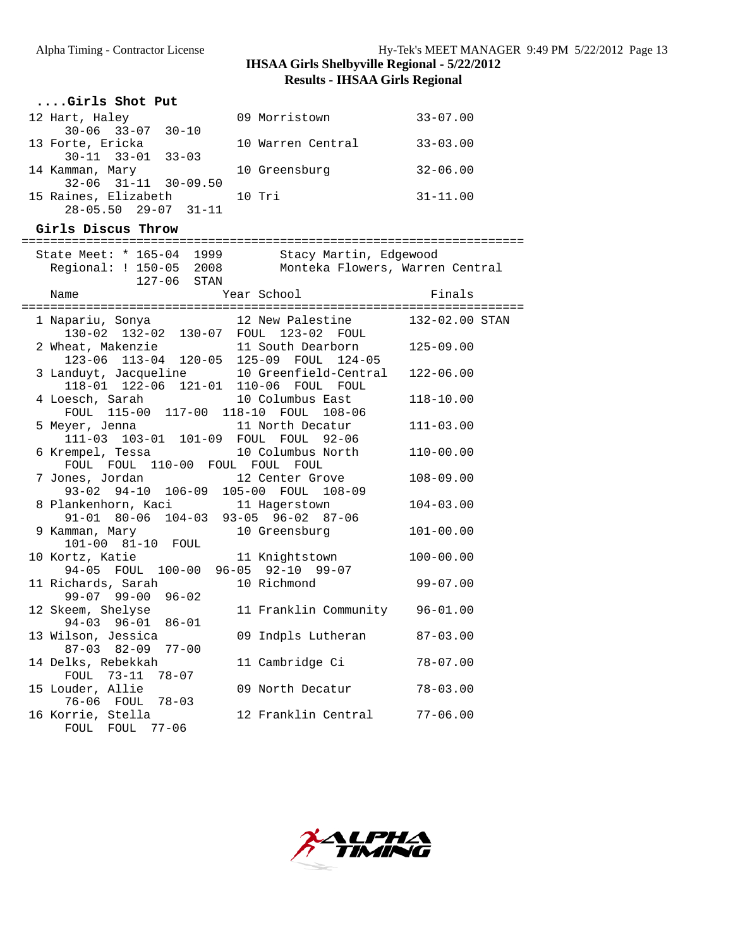## Alpha Timing - Contractor License Hy-Tek's MEET MANAGER 9:49 PM 5/22/2012 Page 13 **IHSAA Girls Shelbyville Regional - 5/22/2012 Results - IHSAA Girls Regional**

| Girls Shot Put                   |                   |              |
|----------------------------------|-------------------|--------------|
| 12 Hart, Haley                   | 09 Morristown     | $33 - 07.00$ |
| $30 - 06$ $33 - 07$ $30 - 10$    |                   |              |
| 13 Forte, Ericka                 | 10 Warren Central | $33 - 03.00$ |
| $30 - 11$ $33 - 01$ $33 - 03$    |                   |              |
| 14 Kamman, Mary                  | 10 Greensburg     | $32 - 06.00$ |
| $32 - 06$ $31 - 11$ $30 - 09.50$ |                   |              |
| 15 Raines, Elizabeth             | $10$ Tri          | $31 - 11.00$ |
| $28 - 05.50$ $29 - 07$ $31 - 11$ |                   |              |

**Girls Discus Throw**

| ===============                       |                                                                                               |                |
|---------------------------------------|-----------------------------------------------------------------------------------------------|----------------|
| Regional: ! 150-05 2008               | State Meet: * 165-04 1999 Stacy Martin, Edgewood<br>Monteka Flowers, Warren Central           |                |
| 127-06 STAN                           |                                                                                               |                |
| Name                                  | Year School                                                                                   | Finals         |
| ------------------------------------  | =======================                                                                       |                |
|                                       | 1 Napariu, Sonya               12 New Palestine<br>-<br>130-02 132-02 130-07 FOUL 123-02 FOUL | 132-02.00 STAN |
| 2 Wheat, Makenzie                     | 11 South Dearborn                                                                             | $125 - 09.00$  |
|                                       | 123-06 113-04 120-05 125-09 FOUL 124-05                                                       |                |
| 118-01 122-06 121-01 110-06 FOUL FOUL | 3 Landuyt, Jacqueline 10 Greenfield-Central                                                   | $122 - 06.00$  |
| 4 Loesch, Sarah 10 Columbus East      |                                                                                               | $118 - 10.00$  |
|                                       | FOUL 115-00 117-00 118-10 FOUL 108-06                                                         |                |
| 5 Meyer, Jenna 11 North Decatur       |                                                                                               | $111 - 03.00$  |
| 111-03 103-01 101-09 FOUL FOUL 92-06  |                                                                                               |                |
|                                       | 6 Krempel, Tessa 10 Columbus North                                                            | $110 - 00.00$  |
| FOUL FOUL 110-00 FOUL FOUL FOUL       |                                                                                               |                |
| 7 Jones, Jordan 12 Center Grove       |                                                                                               | $108 - 09.00$  |
| 93-02 94-10 106-09 105-00 FOUL 108-09 |                                                                                               |                |
| 8 Plankenhorn, Kaci 11 Hagerstown     |                                                                                               | $104 - 03.00$  |
| 91-01 80-06 104-03 93-05 96-02 87-06  |                                                                                               |                |
| 9 Kamman, Mary                        | 10 Greensburg                                                                                 | $101 - 00.00$  |
| 101-00 81-10 FOUL                     |                                                                                               |                |
| 10 Kortz, Katie                       | 11 Knightstown                                                                                | $100 - 00.00$  |
| 94-05 FOUL 100-00 96-05 92-10 99-07   |                                                                                               |                |
| 11 Richards, Sarah                    | 10 Richmond                                                                                   | $99 - 07.00$   |
| $99-07$ $99-00$ $96-02$               |                                                                                               |                |
| 12 Skeem, Shelyse                     | 11 Franklin Community 96-01.00                                                                |                |
| 94-03 96-01 86-01                     |                                                                                               |                |
| 13 Wilson, Jessica                    | 09 Indpls Lutheran                                                                            | $87 - 03.00$   |
| $87-03$ $82-09$ $77-00$               |                                                                                               |                |
| 14 Delks, Rebekkah                    | 11 Cambridge Ci                                                                               | $78 - 07.00$   |
| FOUL 73-11 78-07                      |                                                                                               |                |
| 15 Louder, Allie                      | 09 North Decatur                                                                              | $78 - 03.00$   |
| 76-06 FOUL 78-03                      |                                                                                               |                |
| 16 Korrie, Stella                     | 12 Franklin Central 77-06.00                                                                  |                |
| FOUL FOUL 77-06                       |                                                                                               |                |